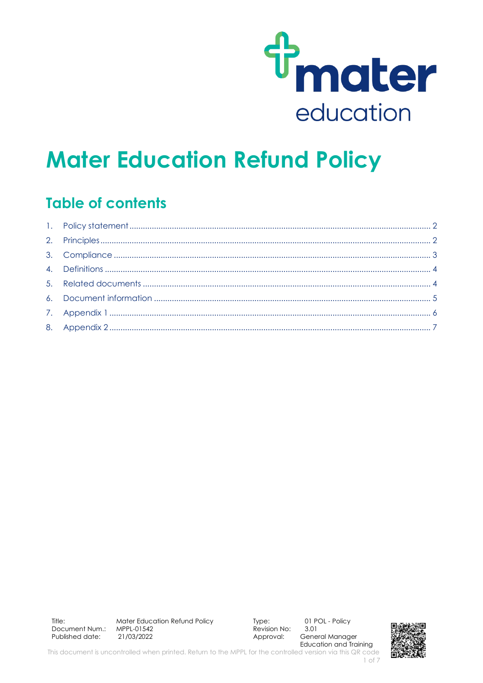

# **Mater Education Refund Policy**

## **Table of contents**

Title: Mater Education Refund Policy MPPI-01542 Document Num.: 21/03/2022 Published date:

Type: Revision No:  $3.01$ Approval:

01 POL - Policy General Manager **Education and Training** 

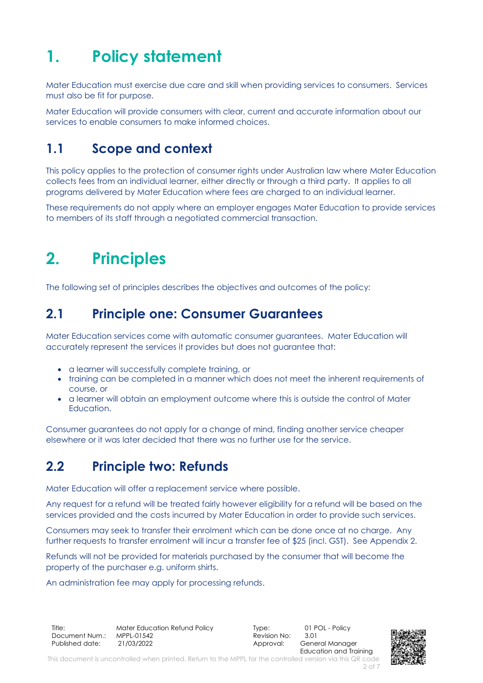## <span id="page-1-0"></span>**1. Policy statement**

Mater Education must exercise due care and skill when providing services to consumers. Services must also be fit for purpose.

Mater Education will provide consumers with clear, current and accurate information about our services to enable consumers to make informed choices.

## **1.1 Scope and context**

This policy applies to the protection of consumer rights under Australian law where Mater Education collects fees from an individual learner, either directly or through a third party. It applies to all programs delivered by Mater Education where fees are charged to an individual learner.

These requirements do not apply where an employer engages Mater Education to provide services to members of its staff through a negotiated commercial transaction.

## <span id="page-1-1"></span>**2. Principles**

The following set of principles describes the objectives and outcomes of the policy:

### **2.1 Principle one: Consumer Guarantees**

Mater Education services come with automatic consumer guarantees. Mater Education will accurately represent the services it provides but does not guarantee that:

- a learner will successfully complete training, or
- training can be completed in a manner which does not meet the inherent requirements of course, or
- a learner will obtain an employment outcome where this is outside the control of Mater Education.

Consumer guarantees do not apply for a change of mind, finding another service cheaper elsewhere or it was later decided that there was no further use for the service.

### **2.2 Principle two: Refunds**

Mater Education will offer a replacement service where possible.

Any request for a refund will be treated fairly however eligibility for a refund will be based on the services provided and the costs incurred by Mater Education in order to provide such services.

Consumers may seek to transfer their enrolment which can be done once at no charge. Any further requests to transfer enrolment will incur a transfer fee of \$25 (incl. GST). See Appendix 2.

Refunds will not be provided for materials purchased by the consumer that will become the property of the purchaser e.g. uniform shirts.

An administration fee may apply for processing refunds.

Title: Mater Education Refund Policy Type: 01 POL - Policy<br>Document Num.: MPPL-01542 Revision No: 3.01 Document Num.: Published date: 21/03/2022 2010 2010 2010 Approval: General Manager

Education and Training



This document is uncontrolled when printed. Return to the MPPL for the controlled version via this QR code 2 of 7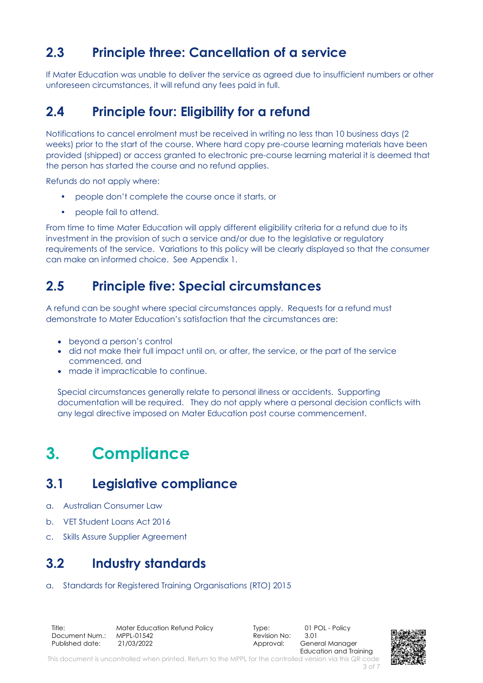## **2.3 Principle three: Cancellation of a service**

If Mater Education was unable to deliver the service as agreed due to insufficient numbers or other unforeseen circumstances, it will refund any fees paid in full.

## **2.4 Principle four: Eligibility for a refund**

Notifications to cancel enrolment must be received in writing no less than 10 business days (2 weeks) prior to the start of the course. Where hard copy pre-course learning materials have been provided (shipped) or access granted to electronic pre-course learning material it is deemed that the person has started the course and no refund applies.

Refunds do not apply where:

- people don't complete the course once it starts, or
- people fail to attend.

From time to time Mater Education will apply different eligibility criteria for a refund due to its investment in the provision of such a service and/or due to the legislative or regulatory requirements of the service. Variations to this policy will be clearly displayed so that the consumer can make an informed choice. See Appendix 1.

#### **2.5 Principle five: Special circumstances**

A refund can be sought where special circumstances apply. Requests for a refund must demonstrate to Mater Education's satisfaction that the circumstances are:

- beyond a person's control
- did not make their full impact until on, or after, the service, or the part of the service commenced, and
- made it impracticable to continue.

Special circumstances generally relate to personal illness or accidents. Supporting documentation will be required. They do not apply where a personal decision conflicts with any legal directive imposed on Mater Education post course commencement.

## <span id="page-2-0"></span>**3. Compliance**

### **3.1 Legislative compliance**

- a. Australian Consumer Law
- b. VET Student Loans Act 2016
- c. Skills Assure Supplier Agreement

### **3.2 Industry standards**

a. Standards for Registered Training Organisations (RTO) 2015

Title: Mater Education Refund Policy Type: 01 POL - Policy Document Num.: MPPL-01542 Revision No: 3.01 Published date: 21/03/2022 2010 2010 2010 Approval: General Manager



This document is uncontrolled when printed. Return to the MPPL for the controlled version via this QR code 3 of 7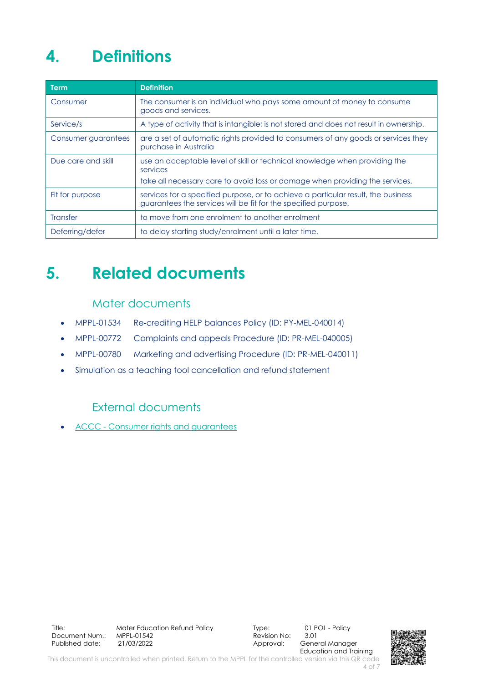## <span id="page-3-0"></span>**4. Definitions**

| <b>Term</b>         | <b>Definition</b>                                                                                                                                   |
|---------------------|-----------------------------------------------------------------------------------------------------------------------------------------------------|
| Consumer            | The consumer is an individual who pays some amount of money to consume<br>goods and services.                                                       |
| Service/s           | A type of activity that is intangible; is not stored and does not result in ownership.                                                              |
| Consumer guarantees | are a set of automatic rights provided to consumers of any goods or services they<br>purchase in Australia                                          |
| Due care and skill  | use an acceptable level of skill or technical knowledge when providing the<br>services                                                              |
|                     | take all necessary care to avoid loss or damage when providing the services.                                                                        |
| Fit for purpose     | services for a specified purpose, or to achieve a particular result, the business<br>guarantees the services will be fit for the specified purpose. |
| <b>Transfer</b>     | to move from one enrolment to another enrolment                                                                                                     |
| Deferring/defer     | to delay starting study/enrolment until a later time.                                                                                               |

## <span id="page-3-1"></span>**5. Related documents**

#### Mater documents

- MPPL-01534 Re-crediting HELP balances Policy (ID: PY-MEL-040014)
- MPPL-00772 Complaints and appeals Procedure (ID: PR-MEL-040005)
- MPPL-00780 Marketing and advertising Procedure (ID: PR-MEL-040011)
- Simulation as a teaching tool cancellation and refund statement

#### External documents

• ACCC - [Consumer rights and guarantees](https://www.accc.gov.au/consumers/consumer-rights-guarantees/consumer-guarantees)

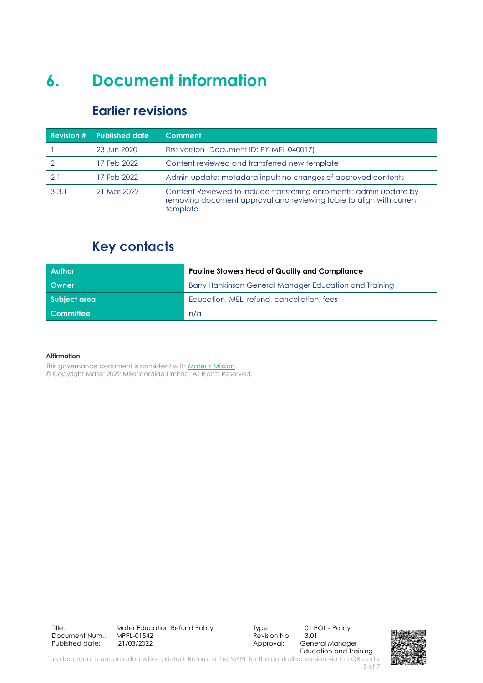## <span id="page-4-0"></span>**6. Document information**

#### **Earlier revisions**

| <b>Revision #</b> | <b>Published date</b> | <b>Comment</b>                                                                                                                                           |
|-------------------|-----------------------|----------------------------------------------------------------------------------------------------------------------------------------------------------|
|                   | 23 Jun 2020           | First version (Document ID: PY-MEL-040017)                                                                                                               |
|                   | 17 Feb 2022           | Content reviewed and transferred new template                                                                                                            |
| 2.1               | 17 Feb 2022           | Admin update: metadata input; no changes of approved contents                                                                                            |
| $3 - 3.1$         | 21 Mar 2022           | Content Reviewed to include transferring enrolments; admin update by<br>removing document approval and reviewing table to align with current<br>template |

## **Key contacts**

| <b>Author</b> | <b>Pauline Stowers Head of Quality and Compliance</b>  |  |
|---------------|--------------------------------------------------------|--|
| Owner         | Barry Hankinson General Manager Education and Training |  |
| Subject area  | Education, MEL, refund, cancellation, fees             |  |
| Committee     | n/a                                                    |  |

#### **Affirmation**

This governance document is consistent with [Mater's Mission](http://www.mater.org.au/Home/About/Mission-Vision-and-Values).

© Copyright Mater 2022 Misericordiae Limited. All Rights Reserved.

Title: Mater Education Refund Policy Type: 01 POL - Policy<br>Document Num.: MPPL-01542 Revision No: 3.01 Document Num.: MPPL-01542 Revision N<br>Published date: 31/03/2022 3.012 Approval:

General Manager Education and Training

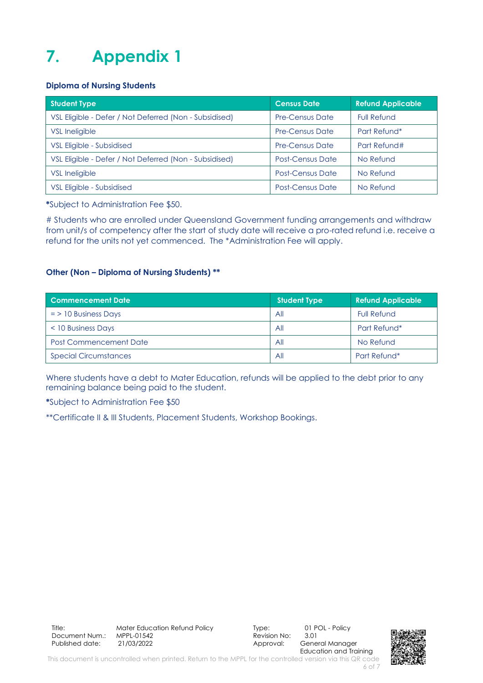## <span id="page-5-0"></span>**7. Appendix 1**

#### **Diploma of Nursing Students**

| <b>Student Type</b>                                    | <b>Census Date</b>      | <b>Refund Applicable</b> |
|--------------------------------------------------------|-------------------------|--------------------------|
| VSL Eligible - Defer / Not Deferred (Non - Subsidised) | <b>Pre-Census Date</b>  | <b>Full Refund</b>       |
| <b>VSL Ineligible</b>                                  | <b>Pre-Census Date</b>  | Part Refund*             |
| VSL Eligible - Subsidised                              | <b>Pre-Census Date</b>  | Part Refund#             |
| VSL Eligible - Defer / Not Deferred (Non - Subsidised) | <b>Post-Census Date</b> | No Refund                |
| <b>VSL Ineligible</b>                                  | <b>Post-Census Date</b> | No Refund                |
| VSL Eligible - Subsidised                              | <b>Post-Census Date</b> | No Refund                |

**\***Subject to Administration Fee \$50.

# Students who are enrolled under Queensland Government funding arrangements and withdraw from unit/s of competency after the start of study date will receive a pro-rated refund i.e. receive a refund for the units not yet commenced. The \*Administration Fee will apply.

#### **Other (Non – Diploma of Nursing Students) \*\***

| <b>Commencement Date</b>      | <b>Student Type</b> | <b>Refund Applicable</b> |
|-------------------------------|---------------------|--------------------------|
| $=$ > 10 Business Days        | All                 | <b>Full Refund</b>       |
| < 10 Business Days            | All                 | Part Refund*             |
| <b>Post Commencement Date</b> | All                 | No Refund                |
| <b>Special Circumstances</b>  | All                 | Part Refund*             |

Where students have a debt to Mater Education, refunds will be applied to the debt prior to any remaining balance being paid to the student.

**\***Subject to Administration Fee \$50

\*\*Certificate II & III Students, Placement Students, Workshop Bookings.

Title: Mater Education Refund Policy Type: 01 POL - Policy<br>Document Num.: MPPL-01542 Revision No: 3.01 Document Num.: MPPL-01542<br>Published date: 21/03/2022

Approval: General Manager Education and Training